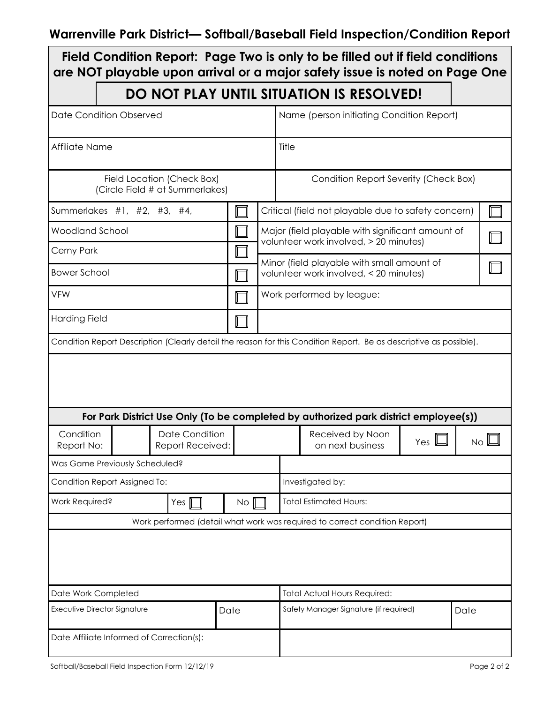## **Warrenville Park District— Softball/Baseball Field Inspection/Condition Report**

| Field Condition Report: Page Two is only to be filled out if field conditions<br>are NOT playable upon arrival or a major safety issue is noted on Page One |                                                                      |                                           |  |                  |                                                                                            |                                                                                                                    |            |              |  |  |  |
|-------------------------------------------------------------------------------------------------------------------------------------------------------------|----------------------------------------------------------------------|-------------------------------------------|--|------------------|--------------------------------------------------------------------------------------------|--------------------------------------------------------------------------------------------------------------------|------------|--------------|--|--|--|
|                                                                                                                                                             |                                                                      |                                           |  |                  |                                                                                            | DO NOT PLAY UNTIL SITUATION IS RESOLVED!                                                                           |            |              |  |  |  |
| <b>Date Condition Observed</b>                                                                                                                              |                                                                      |                                           |  |                  |                                                                                            | Name (person initiating Condition Report)                                                                          |            |              |  |  |  |
| Affiliate Name                                                                                                                                              |                                                                      |                                           |  |                  | Title                                                                                      |                                                                                                                    |            |              |  |  |  |
| Field Location (Check Box)<br>(Circle Field # at Summerlakes)                                                                                               |                                                                      |                                           |  |                  |                                                                                            | Condition Report Severity (Check Box)                                                                              |            |              |  |  |  |
| Summerlakes #1, #2, #3, #4,                                                                                                                                 |                                                                      |                                           |  |                  | Critical (field not playable due to safety concern)                                        |                                                                                                                    |            |              |  |  |  |
|                                                                                                                                                             | <b>Woodland School</b>                                               |                                           |  |                  | Major (field playable with significant amount of<br>volunteer work involved, > 20 minutes) |                                                                                                                    |            |              |  |  |  |
| Cerny Park                                                                                                                                                  |                                                                      |                                           |  |                  |                                                                                            |                                                                                                                    |            |              |  |  |  |
| <b>Bower School</b>                                                                                                                                         |                                                                      |                                           |  |                  | Minor (field playable with small amount of<br>volunteer work involved, < 20 minutes)       |                                                                                                                    |            |              |  |  |  |
| <b>VFW</b>                                                                                                                                                  |                                                                      |                                           |  |                  | Work performed by league:                                                                  |                                                                                                                    |            |              |  |  |  |
| <b>Harding Field</b>                                                                                                                                        |                                                                      |                                           |  |                  |                                                                                            |                                                                                                                    |            |              |  |  |  |
|                                                                                                                                                             |                                                                      |                                           |  |                  |                                                                                            | Condition Report Description (Clearly detail the reason for this Condition Report. Be as descriptive as possible). |            |              |  |  |  |
|                                                                                                                                                             |                                                                      |                                           |  |                  |                                                                                            |                                                                                                                    |            |              |  |  |  |
|                                                                                                                                                             |                                                                      |                                           |  |                  |                                                                                            | For Park District Use Only (To be completed by authorized park district employee(s))                               |            |              |  |  |  |
|                                                                                                                                                             | Condition<br><b>Date Condition</b><br>Report No:<br>Report Received: |                                           |  |                  |                                                                                            | Received by Noon<br>on next business                                                                               | Yes $\Box$ | $N$ o $\Box$ |  |  |  |
|                                                                                                                                                             | Was Game Previously Scheduled?                                       |                                           |  |                  |                                                                                            |                                                                                                                    |            |              |  |  |  |
| Condition Report Assigned To:                                                                                                                               |                                                                      |                                           |  |                  |                                                                                            | Investigated by:                                                                                                   |            |              |  |  |  |
| Work Required?<br>Yes $\mathbb I$                                                                                                                           |                                                                      |                                           |  | $\overline{N}$ o |                                                                                            | <b>Total Estimated Hours:</b>                                                                                      |            |              |  |  |  |
| Work performed (detail what work was required to correct condition Report)                                                                                  |                                                                      |                                           |  |                  |                                                                                            |                                                                                                                    |            |              |  |  |  |
|                                                                                                                                                             |                                                                      |                                           |  |                  |                                                                                            |                                                                                                                    |            |              |  |  |  |
| Date Work Completed                                                                                                                                         |                                                                      |                                           |  |                  |                                                                                            | <b>Total Actual Hours Required:</b>                                                                                |            |              |  |  |  |
| <b>Executive Director Signature</b>                                                                                                                         |                                                                      |                                           |  | Date             |                                                                                            | Safety Manager Signature (if required)                                                                             |            | Date         |  |  |  |
|                                                                                                                                                             |                                                                      | Date Affiliate Informed of Correction(s): |  |                  |                                                                                            |                                                                                                                    |            |              |  |  |  |